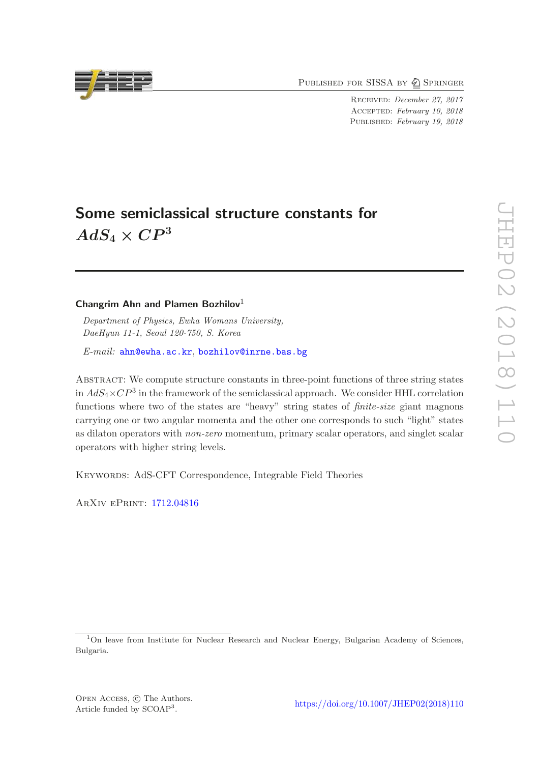PUBLISHED FOR SISSA BY 2 SPRINGER

Received: December 27, 2017 Accepted: February 10, 2018 PUBLISHED: February 19, 2018

# Some semiclassical structure constants for  $AdS_4\times CP^3$

# Changrim Ahn and Plamen Bozhilov<sup>1</sup>

Department of Physics, Ewha Womans University, DaeHyun 11-1, Seoul 120-750, S. Korea

E-mail: [ahn@ewha.ac.kr](mailto:ahn@ewha.ac.kr), [bozhilov@inrne.bas.bg](mailto:bozhilov@inrne.bas.bg)

Abstract: We compute structure constants in three-point functions of three string states in  $AdS_4\times CP^3$  in the framework of the semiclassical approach. We consider HHL correlation functions where two of the states are "heavy" string states of *finite-size* giant magnons carrying one or two angular momenta and the other one corresponds to such "light" states as dilaton operators with non-zero momentum, primary scalar operators, and singlet scalar operators with higher string levels.

Keywords: AdS-CFT Correspondence, Integrable Field Theories

ArXiv ePrint: [1712.04816](https://arxiv.org/abs/1712.04816)



<sup>&</sup>lt;sup>1</sup>On leave from Institute for Nuclear Research and Nuclear Energy, Bulgarian Academy of Sciences, Bulgaria.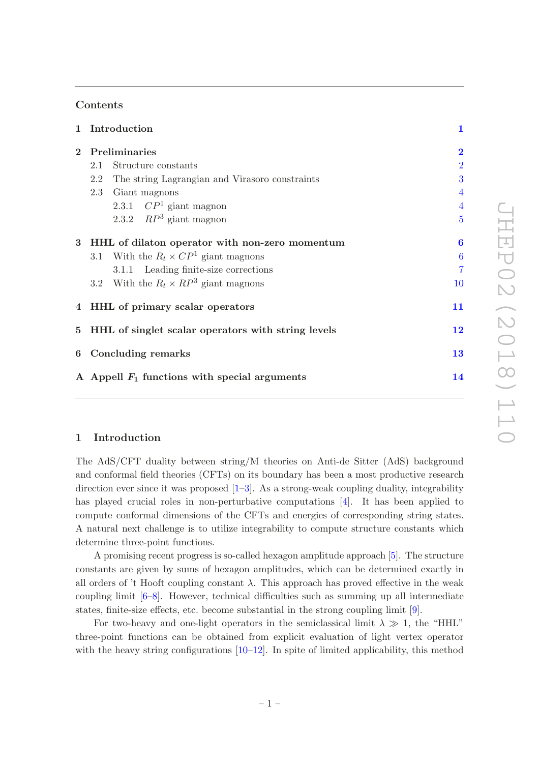# Contents

|              | 1 Introduction                                        | $\mathbf{1}$            |
|--------------|-------------------------------------------------------|-------------------------|
| $\mathbf{2}$ | Preliminaries                                         | $\overline{\mathbf{2}}$ |
|              | Structure constants<br>2.1                            | $\overline{2}$          |
|              | The string Lagrangian and Virasoro constraints<br>2.2 | 3                       |
|              | 2.3<br>Giant magnons                                  | $\overline{4}$          |
|              | 2.3.1 $\mathbb{CP}^1$ giant magnon                    | $\overline{4}$          |
|              | 2.3.2 $RP^3$ giant magnon                             | $\overline{5}$          |
|              | 3 HHL of dilaton operator with non-zero momentum      | 6                       |
|              | 3.1 With the $R_t \times CP^1$ giant magnons          | $\boldsymbol{6}$        |
|              | 3.1.1 Leading finite-size corrections                 | $\overline{7}$          |
|              | 3.2 With the $R_t \times RP^3$ giant magnons          | 10                      |
|              | 4 HHL of primary scalar operators                     | 11                      |
|              | 5 HHL of singlet scalar operators with string levels  | 12                      |
|              | 6 Concluding remarks                                  | 13                      |
|              | A Appell $F_1$ functions with special arguments       | 14                      |
|              |                                                       |                         |

#### <span id="page-1-0"></span>1 Introduction

The AdS/CFT duality between string/M theories on Anti-de Sitter (AdS) background and conformal field theories (CFTs) on its boundary has been a most productive research direction ever since it was proposed  $[1-3]$ . As a strong-weak coupling duality, integrability has played crucial roles in non-perturbative computations [\[4\]](#page-14-3). It has been applied to compute conformal dimensions of the CFTs and energies of corresponding string states. A natural next challenge is to utilize integrability to compute structure constants which determine three-point functions.

A promising recent progress is so-called hexagon amplitude approach [\[5\]](#page-14-4). The structure constants are given by sums of hexagon amplitudes, which can be determined exactly in all orders of 't Hooft coupling constant  $\lambda$ . This approach has proved effective in the weak coupling limit [\[6](#page-15-0)[–8\]](#page-15-1). However, technical difficulties such as summing up all intermediate states, finite-size effects, etc. become substantial in the strong coupling limit [\[9](#page-15-2)].

For two-heavy and one-light operators in the semiclassical limit  $\lambda \gg 1$ , the "HHL" three-point functions can be obtained from explicit evaluation of light vertex operator with the heavy string configurations  $[10-12]$ . In spite of limited applicability, this method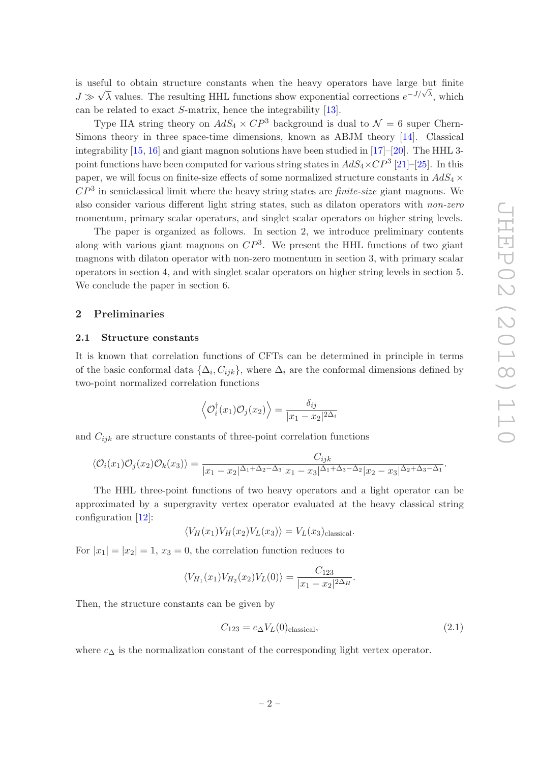is useful to obtain structure constants when the heavy operators have large but finite  $J \gg \sqrt{\lambda}$  values. The resulting HHL functions show exponential corrections  $e^{-J/\sqrt{\lambda}}$ , which can be related to exact S-matrix, hence the integrability [\[13\]](#page-15-5).

Type IIA string theory on  $AdS_4 \times CP^3$  background is dual to  $\mathcal{N}=6$  super Chern-Simons theory in three space-time dimensions, known as ABJM theory [\[14](#page-15-6)]. Classical integrability  $[15, 16]$  $[15, 16]$  $[15, 16]$  and giant magnon solutions have been studied in  $[17]$ – $[20]$  $[20]$ . The HHL 3point functions have been computed for various string states in  $AdS_4 \times CP^3$  [\[21\]](#page-15-11)–[\[25](#page-16-0)]. In this paper, we will focus on finite-size effects of some normalized structure constants in  $AdS_4 \times$  $CP<sup>3</sup>$  in semiclassical limit where the heavy string states are *finite-size* giant magnons. We also consider various different light string states, such as dilaton operators with non-zero momentum, primary scalar operators, and singlet scalar operators on higher string levels.

The paper is organized as follows. In section 2, we introduce preliminary contents along with various giant magnons on  $\mathbb{CP}^3$ . We present the HHL functions of two giant magnons with dilaton operator with non-zero momentum in section 3, with primary scalar operators in section 4, and with singlet scalar operators on higher string levels in section 5. We conclude the paper in section 6.

# <span id="page-2-1"></span><span id="page-2-0"></span>2 Preliminaries

#### 2.1 Structure constants

It is known that correlation functions of CFTs can be determined in principle in terms of the basic conformal data  $\{\Delta_i, C_{ijk}\}\$ , where  $\Delta_i$  are the conformal dimensions defined by two-point normalized correlation functions

$$
\langle \mathcal{O}_i^{\dagger}(x_1) \mathcal{O}_j(x_2) \rangle = \frac{\delta_{ij}}{|x_1 - x_2|^{2\Delta_i}}
$$

and  $C_{ijk}$  are structure constants of three-point correlation functions

$$
\langle \mathcal{O}_i(x_1)\mathcal{O}_j(x_2)\mathcal{O}_k(x_3)\rangle = \frac{C_{ijk}}{|x_1 - x_2|^{\Delta_1 + \Delta_2 - \Delta_3}|x_1 - x_3|^{\Delta_1 + \Delta_3 - \Delta_2}|x_2 - x_3|^{\Delta_2 + \Delta_3 - \Delta_1}}.
$$

The HHL three-point functions of two heavy operators and a light operator can be approximated by a supergravity vertex operator evaluated at the heavy classical string configuration [\[12](#page-15-4)]:

$$
\langle V_H(x_1)V_H(x_2)V_L(x_3)\rangle = V_L(x_3)_{\text{classical}}.
$$

For  $|x_1| = |x_2| = 1$ ,  $x_3 = 0$ , the correlation function reduces to

$$
\langle V_{H_1}(x_1)V_{H_2}(x_2)V_L(0)\rangle = \frac{C_{123}}{|x_1 - x_2|^{2\Delta_H}}.
$$

Then, the structure constants can be given by

$$
C_{123} = c_{\Delta} V_L(0)_{\text{classical}},\tag{2.1}
$$

where  $c_{\Delta}$  is the normalization constant of the corresponding light vertex operator.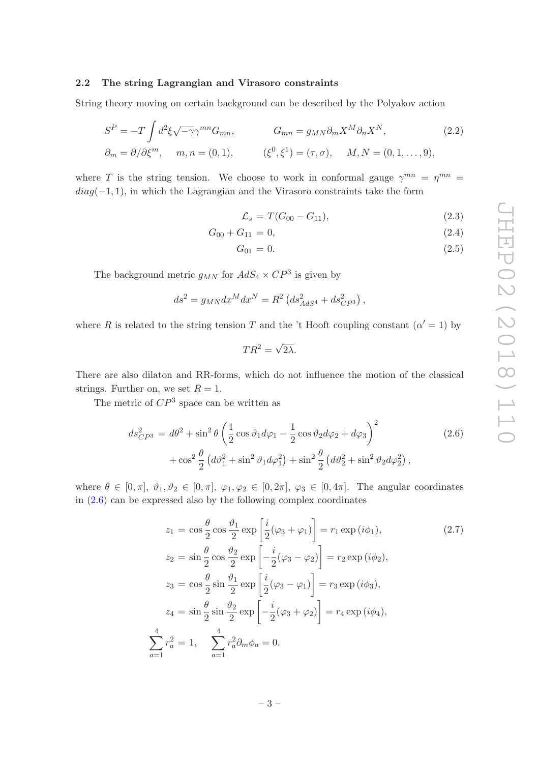#### <span id="page-3-0"></span>2.2 The string Lagrangian and Virasoro constraints

String theory moving on certain background can be described by the Polyakov action

$$
S^{P} = -T \int d^{2} \xi \sqrt{-\gamma} \gamma^{mn} G_{mn}, \qquad G_{mn} = g_{MN} \partial_{m} X^{M} \partial_{n} X^{N},
$$
  
\n
$$
\partial_{m} = \partial / \partial \xi^{m}, \qquad m, n = (0, 1), \qquad (\xi^{0}, \xi^{1}) = (\tau, \sigma), \qquad M, N = (0, 1, ..., 9),
$$
\n(2.2)

where T is the string tension. We choose to work in conformal gauge  $\gamma^{mn} = \eta^{mn} =$  $diag(-1, 1)$ , in which the Lagrangian and the Virasoro constraints take the form

<span id="page-3-3"></span>
$$
\mathcal{L}_s = T(G_{00} - G_{11}),\tag{2.3}
$$

$$
G_{00} + G_{11} = 0,\t\t(2.4)
$$

$$
G_{01} = 0. \t\t(2.5)
$$

The background metric  $g_{MN}$  for  $AdS_4 \times CP^3$  is given by

$$
ds^{2} = g_{MN}dx^{M}dx^{N} = R^{2} (ds^{2}_{AdS^{4}} + ds^{2}_{CP^{3}}),
$$

where R is related to the string tension T and the 't Hooft coupling constant  $(\alpha' = 1)$  by

$$
TR^2 = \sqrt{2\lambda}.
$$

There are also dilaton and RR-forms, which do not influence the motion of the classical strings. Further on, we set  $R = 1$ .

The metric of  $\mathbb{CP}^3$  space can be written as

<span id="page-3-1"></span>
$$
ds_{CP^3}^2 = d\theta^2 + \sin^2 \theta \left(\frac{1}{2}\cos\vartheta_1 d\varphi_1 - \frac{1}{2}\cos\vartheta_2 d\varphi_2 + d\varphi_3\right)^2 + \cos^2 \frac{\theta}{2} \left(d\vartheta_1^2 + \sin^2\vartheta_1 d\varphi_1^2\right) + \sin^2 \frac{\theta}{2} \left(d\vartheta_2^2 + \sin^2\vartheta_2 d\varphi_2^2\right),
$$
\n(2.6)

where  $\theta \in [0, \pi], \vartheta_1, \vartheta_2 \in [0, \pi], \varphi_1, \varphi_2 \in [0, 2\pi], \varphi_3 \in [0, 4\pi]$ . The angular coordinates in  $(2.6)$  can be expressed also by the following complex coordinates

<span id="page-3-2"></span>
$$
z_1 = \cos\frac{\theta}{2}\cos\frac{\theta_1}{2}\exp\left[\frac{i}{2}(\varphi_3 + \varphi_1)\right] = r_1 \exp(i\phi_1),
$$
\n
$$
z_2 = \sin\frac{\theta}{2}\cos\frac{\theta_2}{2}\exp\left[-\frac{i}{2}(\varphi_3 - \varphi_2)\right] = r_2 \exp(i\phi_2),
$$
\n
$$
z_3 = \cos\frac{\theta}{2}\sin\frac{\theta_1}{2}\exp\left[\frac{i}{2}(\varphi_3 - \varphi_1)\right] = r_3 \exp(i\phi_3),
$$
\n
$$
z_4 = \sin\frac{\theta}{2}\sin\frac{\theta_2}{2}\exp\left[-\frac{i}{2}(\varphi_3 + \varphi_2)\right] = r_4 \exp(i\phi_4),
$$
\n
$$
\sum_{a=1}^4 r_a^2 = 1, \quad \sum_{a=1}^4 r_a^2 \partial_m \phi_a = 0.
$$
\n(2.7)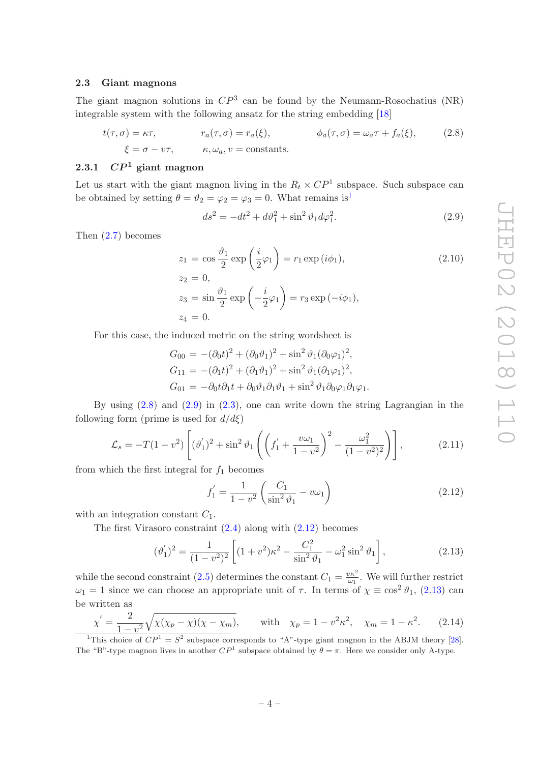# <span id="page-4-0"></span>2.3 Giant magnons

The giant magnon solutions in  $\mathbb{CP}^3$  can be found by the Neumann-Rosochatius (NR) integrable system with the following ansatz for the string embedding [\[18](#page-15-12)]

$$
t(\tau, \sigma) = \kappa \tau, \qquad r_a(\tau, \sigma) = r_a(\xi), \qquad \phi_a(\tau, \sigma) = \omega_a \tau + f_a(\xi), \qquad (2.8)
$$

$$
\xi = \sigma - \nu \tau, \qquad \kappa, \omega_a, \nu = \text{constants.}
$$

# <span id="page-4-1"></span>2.3.1  $\mathbb{CP}^1$  giant magnon

Let us start with the giant magnon living in the  $R_t \times CP^1$  subspace. Such subspace can be obtained by setting  $\theta = \vartheta_2 = \varphi_2 = \varphi_3 = 0$ . What remains is<sup>[1](#page-4-2)</sup>

<span id="page-4-4"></span><span id="page-4-3"></span>
$$
ds^{2} = -dt^{2} + d\vartheta_{1}^{2} + \sin^{2}\vartheta_{1}d\varphi_{1}^{2}.
$$
 (2.9)

Then [\(2.7\)](#page-3-2) becomes

<span id="page-4-7"></span>
$$
z_1 = \cos\frac{\vartheta_1}{2}\exp\left(\frac{i}{2}\varphi_1\right) = r_1\exp(i\phi_1),
$$
  
\n
$$
z_2 = 0,
$$
  
\n
$$
z_3 = \sin\frac{\vartheta_1}{2}\exp\left(-\frac{i}{2}\varphi_1\right) = r_3\exp(-i\phi_1),
$$
\n(2.10)

For this case, the induced metric on the string wordsheet is

 $z_4 = 0.$ 

$$
G_{00} = -(\partial_0 t)^2 + (\partial_0 \vartheta_1)^2 + \sin^2 \vartheta_1 (\partial_0 \varphi_1)^2,
$$
  
\n
$$
G_{11} = -(\partial_1 t)^2 + (\partial_1 \vartheta_1)^2 + \sin^2 \vartheta_1 (\partial_1 \varphi_1)^2,
$$
  
\n
$$
G_{01} = -\partial_0 t \partial_1 t + \partial_0 \vartheta_1 \partial_1 \vartheta_1 + \sin^2 \vartheta_1 \partial_0 \varphi_1 \partial_1 \varphi_1.
$$

By using [\(2.8\)](#page-4-3) and [\(2.9\)](#page-4-4) in [\(2.3\)](#page-3-3), one can write down the string Lagrangian in the following form (prime is used for  $d/d\xi$ )

$$
\mathcal{L}_s = -T(1 - v^2) \left[ (\vartheta'_1)^2 + \sin^2 \vartheta_1 \left( \left( f'_1 + \frac{v\omega_1}{1 - v^2} \right)^2 - \frac{\omega_1^2}{(1 - v^2)^2} \right) \right],\tag{2.11}
$$

from which the first integral for  $f_1$  becomes

<span id="page-4-5"></span>
$$
f_1' = \frac{1}{1 - v^2} \left( \frac{C_1}{\sin^2 \vartheta_1} - v\omega_1 \right)
$$
 (2.12)

with an integration constant  $C_1$ .

The first Virasoro constraint  $(2.4)$  along with  $(2.12)$  becomes

<span id="page-4-6"></span>
$$
(\vartheta_1')^2 = \frac{1}{(1 - v^2)^2} \left[ (1 + v^2) \kappa^2 - \frac{C_1^2}{\sin^2 \vartheta_1} - \omega_1^2 \sin^2 \vartheta_1 \right],
$$
\n(2.13)

while the second constraint [\(2.5\)](#page-3-3) determines the constant  $C_1 = \frac{v\kappa^2}{\omega_1}$  $\frac{\partial \kappa^2}{\partial u_1}$ . We will further restrict  $\omega_1 = 1$  since we can choose an appropriate unit of  $\tau$ . In terms of  $\chi \equiv \cos^2 \theta_1$ , [\(2.13\)](#page-4-6) can be written as

<span id="page-4-8"></span>
$$
\chi' = \frac{2}{1 - v^2} \sqrt{\chi(\chi_p - \chi)(\chi - \chi_m)},
$$
 with  $\chi_p = 1 - v^2 \kappa^2$ ,  $\chi_m = 1 - \kappa^2$ . (2.14)  
\n<sup>1</sup>This choice of  $CP^1 = S^2$  subspace corresponds to "A"-type giant magnon in the ABJM theory [28].

<span id="page-4-2"></span>The "B"-type magnon lives in another  $\mathbb{CP}^1$  subspace obtained by  $\theta = \pi$ . Here we consider only A-type.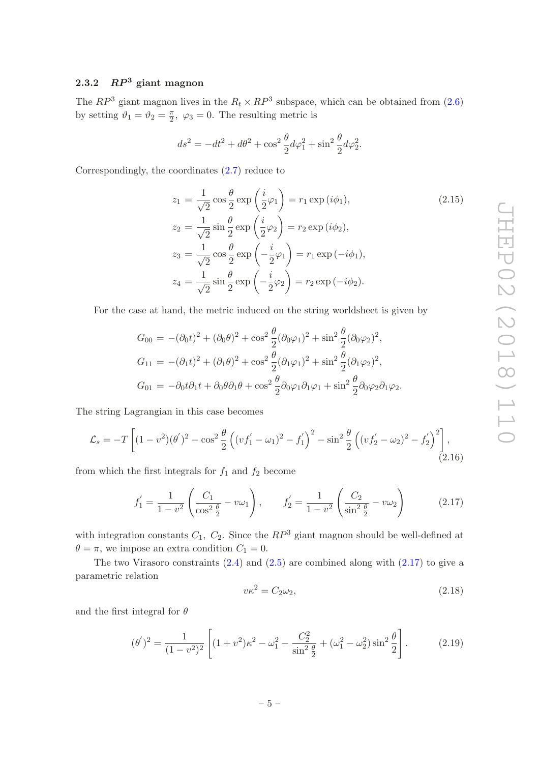# <span id="page-5-0"></span>2.3.2  $RP^3$  giant magnon

The  $RP^3$  giant magnon lives in the  $R_t \times RP^3$  subspace, which can be obtained from [\(2.6\)](#page-3-1) by setting  $\vartheta_1 = \vartheta_2 = \frac{\pi}{2}$  $\frac{\pi}{2}$ ,  $\varphi_3 = 0$ . The resulting metric is

$$
ds^{2} = -dt^{2} + d\theta^{2} + \cos^{2} \frac{\theta}{2} d\varphi_{1}^{2} + \sin^{2} \frac{\theta}{2} d\varphi_{2}^{2}.
$$

Correspondingly, the coordinates [\(2.7\)](#page-3-2) reduce to

<span id="page-5-2"></span>
$$
z_1 = \frac{1}{\sqrt{2}} \cos \frac{\theta}{2} \exp\left(\frac{i}{2}\varphi_1\right) = r_1 \exp(i\phi_1),
$$
\n
$$
z_2 = \frac{1}{\sqrt{2}} \sin \frac{\theta}{2} \exp\left(\frac{i}{2}\varphi_2\right) = r_2 \exp(i\phi_2),
$$
\n
$$
z_3 = \frac{1}{\sqrt{2}} \cos \frac{\theta}{2} \exp\left(-\frac{i}{2}\varphi_1\right) = r_1 \exp(-i\phi_1),
$$
\n
$$
z_4 = \frac{1}{\sqrt{2}} \sin \frac{\theta}{2} \exp\left(-\frac{i}{2}\varphi_2\right) = r_2 \exp(-i\phi_2).
$$
\n(2.15)

For the case at hand, the metric induced on the string worldsheet is given by

$$
G_{00} = -(\partial_0 t)^2 + (\partial_0 \theta)^2 + \cos^2 \frac{\theta}{2} (\partial_0 \varphi_1)^2 + \sin^2 \frac{\theta}{2} (\partial_0 \varphi_2)^2,
$$
  
\n
$$
G_{11} = -(\partial_1 t)^2 + (\partial_1 \theta)^2 + \cos^2 \frac{\theta}{2} (\partial_1 \varphi_1)^2 + \sin^2 \frac{\theta}{2} (\partial_1 \varphi_2)^2,
$$
  
\n
$$
G_{01} = -\partial_0 t \partial_1 t + \partial_0 \theta \partial_1 \theta + \cos^2 \frac{\theta}{2} \partial_0 \varphi_1 \partial_1 \varphi_1 + \sin^2 \frac{\theta}{2} \partial_0 \varphi_2 \partial_1 \varphi_2.
$$

The string Lagrangian in this case becomes

$$
\mathcal{L}_s = -T \left[ (1 - v^2)(\theta')^2 - \cos^2 \frac{\theta}{2} \left( (vf'_1 - \omega_1)^2 - f'_1 \right)^2 - \sin^2 \frac{\theta}{2} \left( (vf'_2 - \omega_2)^2 - f'_2 \right)^2 \right],
$$
\n(2.16)

from which the first integrals for  $f_1$  and  $f_2$  become

<span id="page-5-1"></span>
$$
f_1' = \frac{1}{1 - v^2} \left( \frac{C_1}{\cos^2 \frac{\theta}{2}} - v\omega_1 \right), \qquad f_2' = \frac{1}{1 - v^2} \left( \frac{C_2}{\sin^2 \frac{\theta}{2}} - v\omega_2 \right) \tag{2.17}
$$

with integration constants  $C_1$ ,  $C_2$ . Since the  $RP^3$  giant magnon should be well-defined at  $\theta = \pi$ , we impose an extra condition  $C_1 = 0$ .

The two Virasoro constraints  $(2.4)$  and  $(2.5)$  are combined along with  $(2.17)$  to give a parametric relation

$$
v\kappa^2 = C_2\omega_2,\tag{2.18}
$$

and the first integral for  $\theta$ 

$$
(\theta')^2 = \frac{1}{(1 - v^2)^2} \left[ (1 + v^2)\kappa^2 - \omega_1^2 - \frac{C_2^2}{\sin^2 \frac{\theta}{2}} + (\omega_1^2 - \omega_2^2)\sin^2 \frac{\theta}{2} \right].
$$
 (2.19)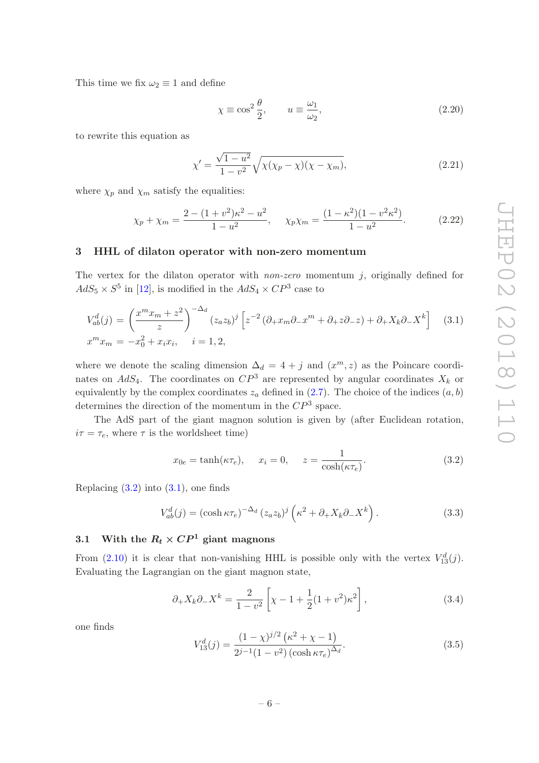This time we fix  $\omega_2 \equiv 1$  and define

$$
\chi \equiv \cos^2 \frac{\theta}{2}, \qquad u \equiv \frac{\omega_1}{\omega_2}, \tag{2.20}
$$

to rewrite this equation as

$$
\chi' = \frac{\sqrt{1 - u^2}}{1 - v^2} \sqrt{\chi(\chi_p - \chi)(\chi - \chi_m)},
$$
\n(2.21)

where  $\chi_p$  and  $\chi_m$  satisfy the equalities:

<span id="page-6-5"></span>
$$
\chi_p + \chi_m = \frac{2 - (1 + v^2)\kappa^2 - u^2}{1 - u^2}, \quad \chi_p \chi_m = \frac{(1 - \kappa^2)(1 - v^2 \kappa^2)}{1 - u^2}.
$$
 (2.22)

#### <span id="page-6-0"></span>3 HHL of dilaton operator with non-zero momentum

The vertex for the dilaton operator with *non-zero* momentum  $i$ , originally defined for  $AdS_5 \times S^5$  in [\[12](#page-15-4)], is modified in the  $AdS_4 \times CP^3$  case to

<span id="page-6-3"></span>
$$
V_{ab}^d(j) = \left(\frac{x^m x_m + z^2}{z}\right)^{-\Delta_d} (z_a z_b)^j \left[z^{-2} \left(\partial_+ x_m \partial_- x^m + \partial_+ z \partial_- z\right) + \partial_+ X_k \partial_- X^k\right] \quad (3.1)
$$
  

$$
x^m x_m = -x_0^2 + x_i x_i, \quad i = 1, 2,
$$

where we denote the scaling dimension  $\Delta_d = 4 + j$  and  $(x^m, z)$  as the Poincare coordinates on  $AdS_4$ . The coordinates on  $\mathbb{CP}^3$  are represented by angular coordinates  $X_k$  or equivalently by the complex coordinates  $z_a$  defined in [\(2.7\)](#page-3-2). The choice of the indices  $(a, b)$ determines the direction of the momentum in the  $\mathbb{CP}^3$  space.

The AdS part of the giant magnon solution is given by (after Euclidean rotation,  $i\tau = \tau_e$ , where  $\tau$  is the worldsheet time)

<span id="page-6-2"></span>
$$
x_{0e} = \tanh(\kappa \tau_e), \quad x_i = 0, \quad z = \frac{1}{\cosh(\kappa \tau_e)}.\tag{3.2}
$$

Replacing  $(3.2)$  into  $(3.1)$ , one finds

$$
V_{ab}^d(j) = (\cosh \kappa \tau_e)^{-\Delta_d} (z_a z_b)^j \left(\kappa^2 + \partial_+ X_k \partial_- X^k\right). \tag{3.3}
$$

# <span id="page-6-1"></span>3.1 With the  $R_t \times CP^1$  giant magnons

From [\(2.10\)](#page-4-7) it is clear that non-vanishing HHL is possible only with the vertex  $V_{13}^d(j)$ . Evaluating the Lagrangian on the giant magnon state,

<span id="page-6-4"></span>
$$
\partial_{+} X_{k} \partial_{-} X^{k} = \frac{2}{1 - v^{2}} \left[ \chi - 1 + \frac{1}{2} (1 + v^{2}) \kappa^{2} \right],
$$
\n(3.4)

one finds

$$
V_{13}^{d}(j) = \frac{(1 - \chi)^{j/2} (\kappa^2 + \chi - 1)}{2^{j-1} (1 - v^2) (\cosh \kappa \tau_e)^{\Delta_d}}.
$$
\n(3.5)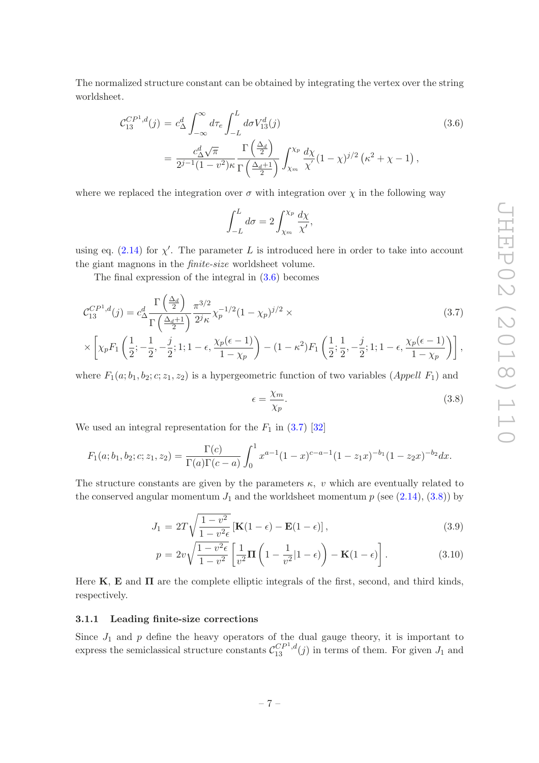The normalized structure constant can be obtained by integrating the vertex over the string worldsheet.

<span id="page-7-1"></span>
$$
\mathcal{C}_{13}^{CP^1,d}(j) = c_{\Delta}^d \int_{-\infty}^{\infty} d\tau_e \int_{-L}^{L} d\sigma V_{13}^d(j)
$$
\n
$$
= \frac{c_{\Delta}^d \sqrt{\pi}}{2^{j-1}(1-v^2)\kappa} \frac{\Gamma\left(\frac{\Delta_d}{2}\right)}{\Gamma\left(\frac{\Delta_d+1}{2}\right)} \int_{\chi_m}^{\chi_p} \frac{d\chi}{\chi'} (1-\chi)^{j/2} \left(\kappa^2 + \chi - 1\right),
$$
\n(3.6)

where we replaced the integration over  $\sigma$  with integration over  $\chi$  in the following way

$$
\int_{-L}^{L} d\sigma = 2 \int_{\chi_m}^{\chi_p} \frac{d\chi}{\chi'},
$$

using eq.  $(2.14)$  for  $\chi'$ . The parameter L is introduced here in order to take into account the giant magnons in the finite-size worldsheet volume.

The final expression of the integral in [\(3.6\)](#page-7-1) becomes

<span id="page-7-2"></span>
$$
\mathcal{C}_{13}^{CP^1,d}(j) = c_{\Delta}^d \frac{\Gamma\left(\frac{\Delta_d}{2}\right)}{\Gamma\left(\frac{\Delta_d+1}{2}\right)} \frac{\pi^{3/2}}{2^j \kappa} \chi_p^{-1/2} (1-\chi_p)^{j/2} \times
$$
\n
$$
\left[ \begin{array}{ccc} (1 & 1 & i & \chi(\epsilon-1)) \\ (1 & 1 & i & \chi(\epsilon-1)) \end{array} \right]
$$
\n
$$
(3.7)
$$

$$
\times \left[ \chi_p F_1 \left( \frac{1}{2}; -\frac{1}{2}, -\frac{j}{2}; 1; 1 - \epsilon, \frac{\chi_p(\epsilon - 1)}{1 - \chi_p} \right) - (1 - \kappa^2) F_1 \left( \frac{1}{2}; \frac{1}{2}, -\frac{j}{2}; 1; 1 - \epsilon, \frac{\chi_p(\epsilon - 1)}{1 - \chi_p} \right) \right],
$$

where  $F_1(a; b_1, b_2; c; z_1, z_2)$  is a hypergeometric function of two variables (*Appell F*<sub>1</sub>) and

<span id="page-7-3"></span>
$$
\epsilon = \frac{\chi_m}{\chi_p}.\tag{3.8}
$$

We used an integral representation for the  $F_1$  in  $(3.7)$  [\[32\]](#page-16-2)

$$
F_1(a;b_1,b_2;c;z_1,z_2) = \frac{\Gamma(c)}{\Gamma(a)\Gamma(c-a)} \int_0^1 x^{a-1} (1-x)^{c-a-1} (1-z_1x)^{-b_1} (1-z_2x)^{-b_2} dx.
$$

The structure constants are given by the parameters  $\kappa$ , v which are eventually related to the conserved angular momentum  $J_1$  and the worldsheet momentum  $p$  (see  $(2.14)$ ,  $(3.8)$ ) by

<span id="page-7-4"></span>
$$
J_1 = 2T\sqrt{\frac{1 - v^2}{1 - v^2\epsilon}}\left[\mathbf{K}(1 - \epsilon) - \mathbf{E}(1 - \epsilon)\right],\tag{3.9}
$$

$$
p = 2v\sqrt{\frac{1 - v^2\epsilon}{1 - v^2}} \left[ \frac{1}{v^2} \mathbf{\Pi} \left( 1 - \frac{1}{v^2} | 1 - \epsilon \right) \right] - \mathbf{K} (1 - \epsilon) \right].
$$
 (3.10)

Here  $K$ ,  $E$  and  $\Pi$  are the complete elliptic integrals of the first, second, and third kinds, respectively.

#### <span id="page-7-0"></span>3.1.1 Leading finite-size corrections

Since  $J_1$  and  $p$  define the heavy operators of the dual gauge theory, it is important to express the semiclassical structure constants  $\mathcal{C}_{13}^{CP^1,d}(j)$  in terms of them. For given  $J_1$  and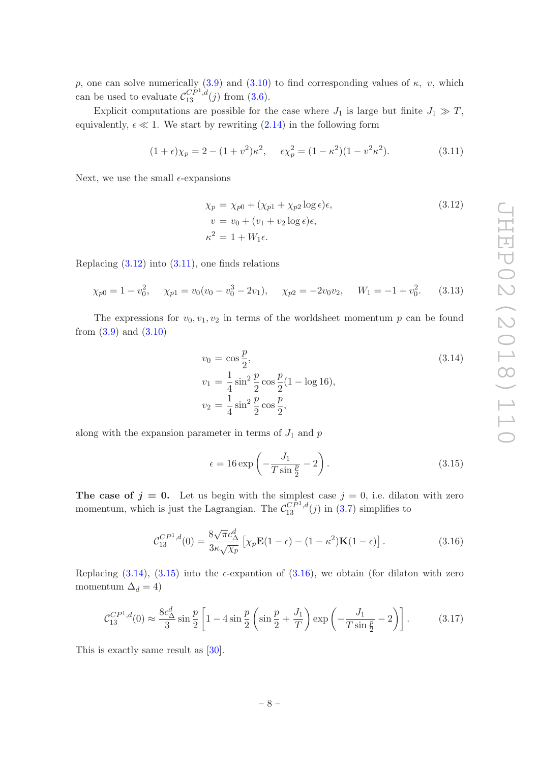p, one can solve numerically [\(3.9\)](#page-7-4) and [\(3.10\)](#page-7-4) to find corresponding values of  $\kappa$ , v, which can be used to evaluate  $\mathcal{C}_{13}^{CP^1,d}(j)$  from  $(3.6)$ .

Explicit computations are possible for the case where  $J_1$  is large but finite  $J_1 \gg T$ , equivalently,  $\epsilon \ll 1$ . We start by rewriting [\(2.14\)](#page-4-8) in the following form

<span id="page-8-1"></span>
$$
(1 + \epsilon)\chi_p = 2 - (1 + v^2)\kappa^2, \quad \epsilon \chi_p^2 = (1 - \kappa^2)(1 - v^2 \kappa^2). \tag{3.11}
$$

Next, we use the small  $\epsilon$ -expansions

<span id="page-8-0"></span>
$$
\chi_p = \chi_{p0} + (\chi_{p1} + \chi_{p2} \log \epsilon) \epsilon,
$$
  
\n
$$
v = v_0 + (v_1 + v_2 \log \epsilon) \epsilon,
$$
  
\n
$$
\kappa^2 = 1 + W_1 \epsilon.
$$
  
\n(3.12)

Replacing  $(3.12)$  into  $(3.11)$ , one finds relations

$$
\chi_{p0} = 1 - v_0^2, \quad \chi_{p1} = v_0(v_0 - v_0^3 - 2v_1), \quad \chi_{p2} = -2v_0v_2, \quad W_1 = -1 + v_0^2. \tag{3.13}
$$

The expressions for  $v_0, v_1, v_2$  in terms of the worldsheet momentum p can be found from  $(3.9)$  and  $(3.10)$ 

<span id="page-8-2"></span>
$$
v_0 = \cos\frac{p}{2},
$$
  
\n
$$
v_1 = \frac{1}{4}\sin^2\frac{p}{2}\cos\frac{p}{2}(1 - \log 16),
$$
  
\n
$$
v_2 = \frac{1}{4}\sin^2\frac{p}{2}\cos\frac{p}{2},
$$
\n(3.14)

along with the expansion parameter in terms of  $J_1$  and  $p$ 

<span id="page-8-3"></span>
$$
\epsilon = 16 \exp\left(-\frac{J_1}{T\sin\frac{p}{2}} - 2\right). \tag{3.15}
$$

The case of  $j = 0$ . Let us begin with the simplest case  $j = 0$ , i.e. dilaton with zero momentum, which is just the Lagrangian. The  $\mathcal{C}_{13}^{\tilde{CP}^1,d}(j)$  in [\(3.7\)](#page-7-2) simplifies to

<span id="page-8-4"></span>
$$
\mathcal{C}_{13}^{CP^1,d}(0) = \frac{8\sqrt{\pi}c_{\Delta}^d}{3\kappa\sqrt{\chi_p}} \left[ \chi_p \mathbf{E}(1-\epsilon) - (1-\kappa^2)\mathbf{K}(1-\epsilon) \right]. \tag{3.16}
$$

Replacing [\(3.14\)](#page-8-2), [\(3.15\)](#page-8-3) into the  $\epsilon$ -expantion of [\(3.16\)](#page-8-4), we obtain (for dilaton with zero momentum  $\Delta_d = 4$ )

$$
\mathcal{C}_{13}^{CP^1,d}(0) \approx \frac{8c_{\Delta}^d}{3} \sin \frac{p}{2} \left[ 1 - 4 \sin \frac{p}{2} \left( \sin \frac{p}{2} + \frac{J_1}{T} \right) \exp \left( -\frac{J_1}{T \sin \frac{p}{2}} - 2 \right) \right].
$$
 (3.17)

This is exactly same result as [\[30\]](#page-16-3).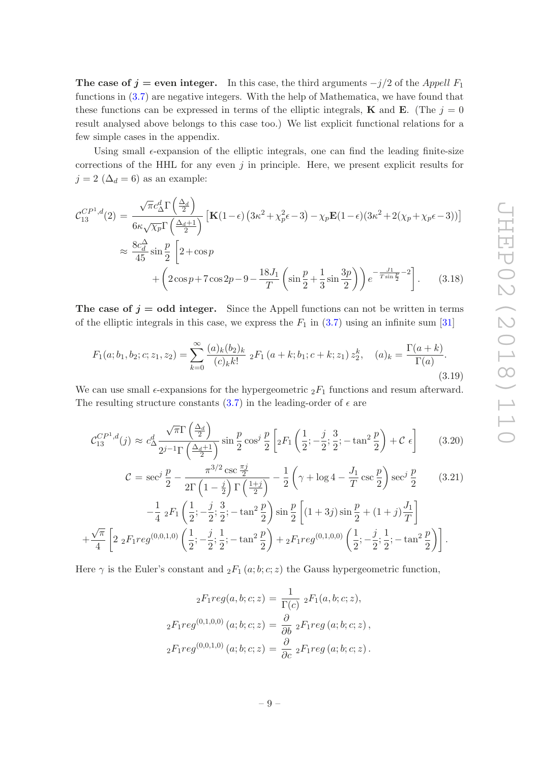The case of  $j =$  even integer. In this case, the third arguments  $-j/2$  of the Appell  $F_1$ functions in [\(3.7\)](#page-7-2) are negative integers. With the help of Mathematica, we have found that these functions can be expressed in terms of the elliptic integrals, **K** and **E**. (The  $j = 0$ result analysed above belongs to this case too.) We list explicit functional relations for a few simple cases in the appendix.

Using small  $\epsilon$ -expansion of the elliptic integrals, one can find the leading finite-size corrections of the HHL for any even  $j$  in principle. Here, we present explicit results for  $j = 2 \; (\Delta_d = 6)$  as an example:

$$
\mathcal{C}_{13}^{CP^1,d}(2) = \frac{\sqrt{\pi}c_{\Delta}^d\Gamma\left(\frac{\Delta_d}{2}\right)}{6\kappa\sqrt{\chi_p}\Gamma\left(\frac{\Delta_d+1}{2}\right)}\left[\mathbf{K}(1-\epsilon)\left(3\kappa^2+\chi_p^2\epsilon-3\right)-\chi_p\mathbf{E}(1-\epsilon)(3\kappa^2+2(\chi_p+\chi_p\epsilon-3))\right]
$$

$$
\approx \frac{8c_{d}^{\Delta}}{45}\sin\frac{p}{2}\left[2+\cos p+\left(2\cos p+7\cos 2p-9-\frac{18J_1}{T}\left(\sin\frac{p}{2}+\frac{1}{3}\sin\frac{3p}{2}\right)\right)e^{-\frac{J_1}{T\sin\frac{p}{2}}-2}\right].
$$
(3.18)

The case of  $j =$  odd integer. Since the Appell functions can not be written in terms of the elliptic integrals in this case, we express the  $F_1$  in  $(3.7)$  using an infinite sum [\[31](#page-16-4)]

$$
F_1(a;b_1,b_2;c;z_1,z_2) = \sum_{k=0}^{\infty} \frac{(a)_k (b_2)_k}{(c)_k k!} {}_2F_1(a+k;b_1;c+k;z_1) z_2^k, \quad (a)_k = \frac{\Gamma(a+k)}{\Gamma(a)}.
$$
\n(3.19)

We can use small  $\epsilon$ -expansions for the hypergeometric  ${}_2F_1$  functions and resum afterward. The resulting structure constants [\(3.7\)](#page-7-2) in the leading-order of  $\epsilon$  are

$$
\mathcal{C}_{13}^{CP^1,d}(j) \approx c_{\Delta}^d \frac{\sqrt{\pi} \Gamma\left(\frac{\Delta_d}{2}\right)}{2^{j-1} \Gamma\left(\frac{\Delta_d+1}{2}\right)} \sin\frac{p}{2} \cos^j \frac{p}{2} \left[{}_2F_1\left(\frac{1}{2}; -\frac{j}{2}; \frac{3}{2}; -\tan^2 \frac{p}{2}\right) + \mathcal{C} \epsilon \right] \tag{3.20}
$$

$$
\mathcal{C} = \sec^j \frac{p}{2} - \frac{\pi^{3/2} \csc \frac{\pi j}{2}}{2\Gamma \left(1 - \frac{j}{2}\right) \Gamma \left(\frac{1+j}{2}\right)} - \frac{1}{2} \left(\gamma + \log 4 - \frac{J_1}{T} \csc \frac{p}{2}\right) \sec^j \frac{p}{2}
$$
(3.21)  

$$
-\frac{1}{4} {}_{2}F_1 \left(\frac{1}{2}; -\frac{j}{2}; \frac{3}{2}; -\tan^2 \frac{p}{2}\right) \sin \frac{p}{2} \left[(1+3j)\sin \frac{p}{2} + (1+j)\frac{J_1}{T}\right]
$$

$$
-\frac{1}{4} {}_{2}F_{1}\left(\frac{1}{2};-\frac{J}{2};\frac{3}{2};-\tan^{2}\frac{p}{2}\right)\sin\frac{p}{2}\left[\left(1+3j\right)\sin\frac{p}{2}+\left(1+j\right)\frac{J_{1}}{T}\right]
$$

$$
+\frac{\sqrt{\pi}}{4}\left[2 {}_{2}F_{1}reg^{(0,0,1,0)}\left(\frac{1}{2};-\frac{j}{2};\frac{1}{2};-\tan^{2}\frac{p}{2}\right)+{}_2F_{1}reg^{(0,1,0,0)}\left(\frac{1}{2};-\frac{j}{2};\frac{1}{2};-\tan^{2}\frac{p}{2}\right)\right].
$$

Here  $\gamma$  is the Euler's constant and  $_2F_1(a;b;c;z)$  the Gauss hypergeometric function,

$$
{}_{2}F_{1}reg(a, b; c; z) = \frac{1}{\Gamma(c)} {}_{2}F_{1}(a, b; c; z),
$$
  

$$
{}_{2}F_{1}reg^{(0,1,0,0)}(a; b; c; z) = \frac{\partial}{\partial b} {}_{2}F_{1}reg(a; b; c; z),
$$
  

$$
{}_{2}F_{1}reg^{(0,0,1,0)}(a; b; c; z) = \frac{\partial}{\partial c} {}_{2}F_{1}reg(a; b; c; z).
$$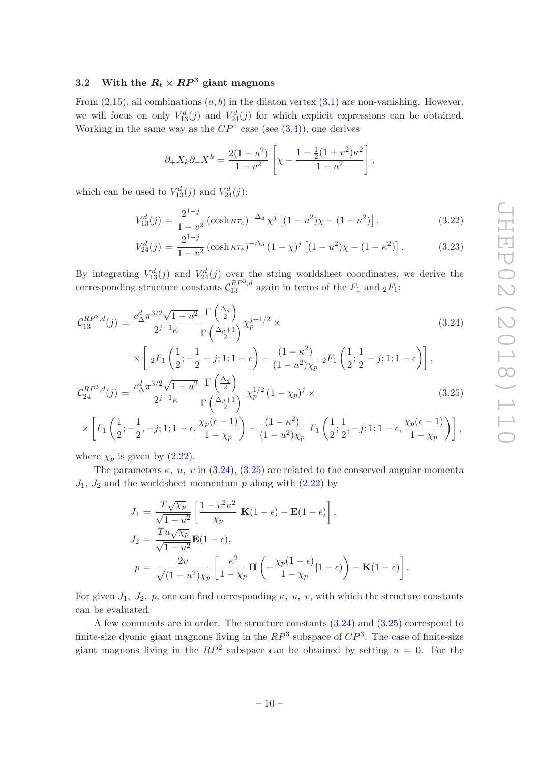# <span id="page-10-0"></span>3.2 With the  $R_t \times RP^3$  giant magnons

From  $(2.15)$ , all combinations  $(a, b)$  in the dilaton vertex  $(3.1)$  are non-vanishing. However, we will focus on only  $V_{13}^d(j)$  and  $V_{24}^d(j)$  for which explicit expressions can be obtained. Working in the same way as the  $\mathbb{CP}^1$  case (see [\(3.4\)](#page-6-4)), one derives

$$
\partial_{+} X_{k} \partial_{-} X^{k} = \frac{2(1 - u^{2})}{1 - v^{2}} \left[ \chi - \frac{1 - \frac{1}{2}(1 + v^{2})\kappa^{2}}{1 - u^{2}} \right],
$$

which can be used to  $V_{13}^d(j)$  and  $V_{24}^d(j)$ :

$$
V_{13}^{d}(j) = \frac{2^{1-j}}{1-v^2} \left( \cosh \kappa \tau_e \right)^{-\Delta_d} \chi^j \left[ (1-u^2)\chi - (1-\kappa^2) \right],\tag{3.22}
$$

$$
V_{24}^{d}(j) = \frac{2^{1-j}}{1 - v^2} \left( \cosh \kappa \tau_e \right)^{-\Delta_d} (1 - \chi)^j \left[ (1 - u^2) \chi - (1 - \kappa^2) \right]. \tag{3.23}
$$

By integrating  $V_{13}^d(j)$  and  $V_{24}^d(j)$  over the string worldsheet coordinates, we derive the corresponding structure constants  $\mathcal{C}_{13}^{RP^3,d}$  again in terms of the  $F_1$  and  $_2F_1$ :

<span id="page-10-1"></span>
$$
\mathcal{C}_{13}^{RP^3,d}(j) = \frac{c_{\Delta}^d \pi^{3/2} \sqrt{1 - u^2}}{2^{j-1} \kappa} \frac{\Gamma\left(\frac{\Delta_d}{2}\right)}{\Gamma\left(\frac{\Delta_d + 1}{2}\right)} \chi_p^{j+1/2} \times \times \left[ 2F_1\left(\frac{1}{2}; -\frac{1}{2} - j; 1; 1 - \epsilon\right) - \frac{(1 - \kappa^2)}{(1 - u^2)\chi_p} 2F_1\left(\frac{1}{2}; \frac{1}{2} - j; 1; 1 - \epsilon\right) \right],
$$
\n
$$
\mathcal{C}_{24}^{RP^3,d}(j) = \frac{c_{\Delta}^d \pi^{3/2} \sqrt{1 - u^2}}{2^{j-1} \kappa} \frac{\Gamma\left(\frac{\Delta_d}{2}\right)}{\Gamma\left(\frac{\Delta_d + 1}{2}\right)} \chi_p^{1/2} (1 - \chi_p)^j \times \tag{3.25}
$$

$$
\times \left[ F_1\left( \frac{1}{2}; -\frac{1}{2}, -j; 1; 1 - \epsilon, \frac{\chi_p(\epsilon - 1)}{1 - \chi_p} \right) - \frac{(1 - \kappa^2)}{(1 - u^2)\chi_p} F_1\left( \frac{1}{2}; \frac{1}{2}, -j; 1; 1 - \epsilon, \frac{\chi_p(\epsilon - 1)}{1 - \chi_p} \right) \right],
$$

where  $\chi_p$  is given by  $(2.22)$ .

The parameters  $\kappa$ ,  $u$ ,  $v$  in [\(3.24\)](#page-10-1), [\(3.25\)](#page-10-1) are related to the conserved angular momenta  $J_1$ ,  $J_2$  and the worldsheet momentum p along with  $(2.22)$  by

$$
J_1 = \frac{T\sqrt{\chi_p}}{\sqrt{1 - u^2}} \left[ \frac{1 - v^2 \kappa^2}{\chi_p} \mathbf{K}(1 - \epsilon) - \mathbf{E}(1 - \epsilon) \right],
$$
  
\n
$$
J_2 = \frac{T u \sqrt{\chi_p}}{\sqrt{1 - u^2}} \mathbf{E}(1 - \epsilon),
$$
  
\n
$$
p = \frac{2v}{\sqrt{(1 - u^2)\chi_p}} \left[ \frac{\kappa^2}{1 - \chi_p} \mathbf{\Pi} \left( -\frac{\chi_p(1 - \epsilon)}{1 - \chi_p} |1 - \epsilon \right) \right] - \mathbf{K}(1 - \epsilon) \right].
$$

For given  $J_1$ ,  $J_2$ ,  $p$ , one can find corresponding  $\kappa$ ,  $u$ ,  $v$ , with which the structure constants can be evaluated.

A few comments are in order. The structure constants [\(3.24\)](#page-10-1) and [\(3.25\)](#page-10-1) correspond to finite-size dyonic giant magnons living in the  $RP^3$  subspace of  $CP^3$ . The case of finite-size giant magnons living in the  $RP^2$  subspace can be obtained by setting  $u = 0$ . For the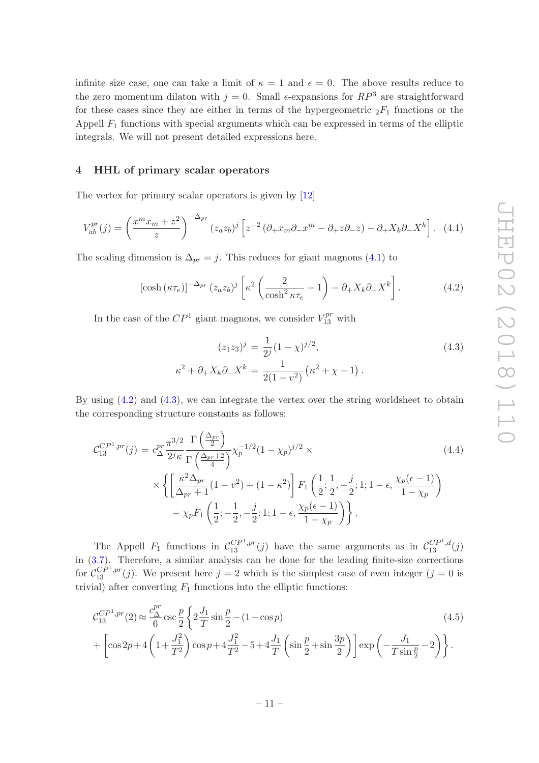infinite size case, one can take a limit of  $\kappa = 1$  and  $\epsilon = 0$ . The above results reduce to the zero momentum dilaton with  $j = 0$ . Small  $\epsilon$ -expansions for  $RP^3$  are straightforward for these cases since they are either in terms of the hypergeometric  ${}_2F_1$  functions or the Appell  $F_1$  functions with special arguments which can be expressed in terms of the elliptic integrals. We will not present detailed expressions here.

#### <span id="page-11-0"></span>4 HHL of primary scalar operators

The vertex for primary scalar operators is given by [\[12\]](#page-15-4)

<span id="page-11-1"></span>
$$
V_{ab}^{pr}(j) = \left(\frac{x^m x_m + z^2}{z}\right)^{-\Delta_{pr}} (z_a z_b)^j \left[z^{-2} \left(\partial_+ x_m \partial_- x^m - \partial_+ z \partial_- z\right) - \partial_+ X_k \partial_- X^k\right]. \tag{4.1}
$$

The scaling dimension is  $\Delta_{pr} = j$ . This reduces for giant magnons [\(4.1\)](#page-11-1) to

<span id="page-11-2"></span>
$$
\left[\cosh\left(\kappa\tau_e\right)\right]^{-\Delta_{pr}}\left(z_a z_b\right)^j \left[\kappa^2 \left(\frac{2}{\cosh^2\kappa\tau_e} - 1\right) - \partial_+ X_k \partial_- X^k\right].\tag{4.2}
$$

In the case of the  $\mathbb{CP}^1$  giant magnons, we consider  $V_{13}^{pr}$  with

<span id="page-11-3"></span>
$$
(z_1 z_3)^j = \frac{1}{2^j} (1 - \chi)^{j/2},
$$
  
\n
$$
\kappa^2 + \partial_+ X_k \partial_- X^k = \frac{1}{2(1 - v^2)} (\kappa^2 + \chi - 1).
$$
\n(4.3)

By using [\(4.2\)](#page-11-2) and [\(4.3\)](#page-11-3), we can integrate the vertex over the string worldsheet to obtain the corresponding structure constants as follows:

$$
\mathcal{C}_{13}^{CP^1, pr}(j) = c_{\Delta}^{pr} \frac{\pi^{3/2}}{2^j \kappa} \frac{\Gamma\left(\frac{\Delta_{pr}}{2}\right)}{\Gamma\left(\frac{\Delta_{pr}+2}{4}\right)} \chi_p^{-1/2} (1 - \chi_p)^{j/2} \times \\ \times \left\{ \left[ \frac{\kappa^2 \Delta_{pr}}{\Delta_{pr} + 1} (1 - v^2) + (1 - \kappa^2) \right] F_1 \left( \frac{1}{2}; \frac{1}{2}, -\frac{j}{2}; 1; 1 - \epsilon, \frac{\chi_p(\epsilon - 1)}{1 - \chi_p} \right) - \chi_p F_1 \left( \frac{1}{2}; -\frac{1}{2}, -\frac{j}{2}; 1; 1 - \epsilon, \frac{\chi_p(\epsilon - 1)}{1 - \chi_p} \right) \right\}.
$$
\n(4.4)

The Appell  $F_1$  functions in  $C_{13}^{CP^1,pr}(j)$  have the same arguments as in  $C_{13}^{CP^1,d}(j)$ in [\(3.7\)](#page-7-2). Therefore, a similar analysis can be done for the leading finite-size corrections for  $C_{13}^{C_P^{(1)},pr}(j)$ . We present here  $j=2$  which is the simplest case of even integer  $(j=0$  is trivial) after converting  $F_1$  functions into the elliptic functions:

$$
\mathcal{C}_{13}^{CP^1, pr}(2) \approx \frac{c_{\Delta}^{pr}}{6} \csc \frac{p}{2} \left\{ 2 \frac{J_1}{T} \sin \frac{p}{2} - (1 - \cos p) \right\} + \left[ \cos 2p + 4 \left( 1 + \frac{J_1^2}{T^2} \right) \cos p + 4 \frac{J_1^2}{T^2} - 5 + 4 \frac{J_1}{T} \left( \sin \frac{p}{2} + \sin \frac{3p}{2} \right) \right] \exp \left( -\frac{J_1}{T \sin \frac{p}{2}} - 2 \right) \right\}.
$$
\n(4.5)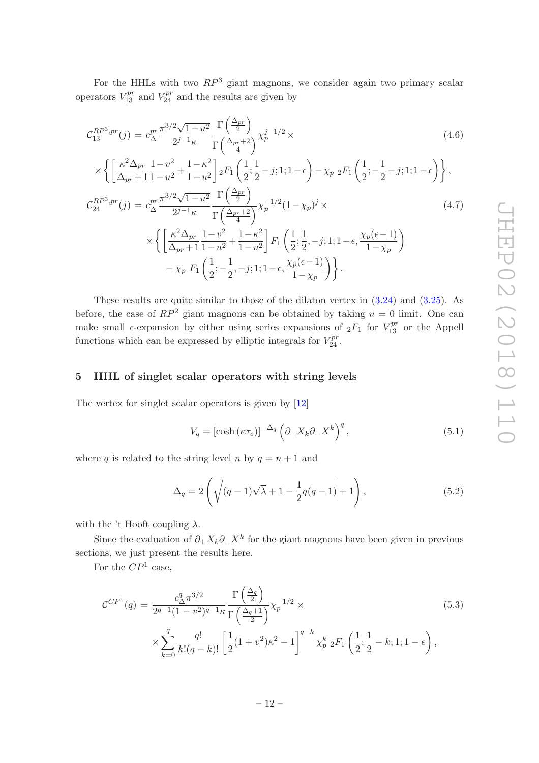For the HHLs with two  $RP^3$  giant magnons, we consider again two primary scalar operators  $V_{13}^{pr}$  and  $V_{24}^{pr}$  and the results are given by

$$
\mathcal{C}_{13}^{RP^3, pr}(j) = c_{\Delta}^{pr} \frac{\pi^{3/2} \sqrt{1 - u^2}}{2^{j-1} \kappa} \frac{\Gamma\left(\frac{\Delta_{pr}}{2}\right)}{\Gamma\left(\frac{\Delta_{pr} + 2}{4}\right)} \chi_p^{j-1/2} \times
$$
\n(4.6)

$$
\times \left\{ \left[ \frac{\kappa^2 \Delta_{pr}}{\Delta_{pr} + 1} \frac{1 - v^2}{1 - u^2} + \frac{1 - \kappa^2}{1 - u^2} \right] {}_2F_1 \left( \frac{1}{2}; \frac{1}{2} - j; 1; 1 - \epsilon \right) - \chi_{p} {}_2F_1 \left( \frac{1}{2}; -\frac{1}{2} - j; 1; 1 - \epsilon \right) \right\},
$$

$$
\mathcal{C}_{24}^{RP^3, pr}(j) = c_{\Delta}^{pr} \frac{\pi^{3/2} \sqrt{1 - u^2} \Gamma\left(\frac{\Delta}{2}\right)}{2^{j-1} \kappa} \frac{\Gamma\left(\frac{\Delta_{pr}+2}{4}\right)}{\Gamma\left(\frac{\Delta_{pr}+2}{4}\right)} \chi_p^{-1/2} (1 - \chi_p)^j \times \\ \times \left\{ \left[ \frac{\kappa^2 \Delta_{pr}}{\Delta_{pr} + 1} \frac{1 - v^2}{1 - u^2} + \frac{1 - \kappa^2}{1 - u^2} \right] F_1 \left( \frac{1}{2}; \frac{1}{2}, -j; 1; 1 - \epsilon, \frac{\chi_p(\epsilon - 1)}{1 - \chi_p} \right) - \chi_p \ F_1 \left( \frac{1}{2}; -\frac{1}{2}, -j; 1; 1 - \epsilon, \frac{\chi_p(\epsilon - 1)}{1 - \chi_p} \right) \right\}.
$$
\n(4.7)

These results are quite similar to those of the dilaton vertex in [\(3.24\)](#page-10-1) and [\(3.25\)](#page-10-1). As before, the case of  $RP^2$  giant magnons can be obtained by taking  $u = 0$  limit. One can make small  $\epsilon$ -expansion by either using series expansions of  ${}_2F_1$  for  $V_{13}^{pr}$  or the Appell functions which can be expressed by elliptic integrals for  $V_{24}^{pr}$ .

# <span id="page-12-0"></span>5 HHL of singlet scalar operators with string levels

The vertex for singlet scalar operators is given by [\[12\]](#page-15-4)

$$
V_q = \left[\cosh\left(\kappa \tau_e\right)\right]^{-\Delta_q} \left(\partial_+ X_k \partial_- X^k\right)^q,\tag{5.1}
$$

where q is related to the string level n by  $q = n + 1$  and

$$
\Delta_q = 2\left(\sqrt{(q-1)\sqrt{\lambda} + 1 - \frac{1}{2}q(q-1)} + 1\right),
$$
\n(5.2)

with the 't Hooft coupling  $\lambda$ .

Since the evaluation of  $\partial_+ X_k \partial_- X^k$  for the giant magnons have been given in previous sections, we just present the results here.

For the  $\mathbb{CP}^1$  case,

$$
\mathcal{C}^{CP1}(q) = \frac{c_{\Delta}^q \pi^{3/2}}{2^{q-1} (1 - v^2)^{q-1} \kappa} \frac{\Gamma\left(\frac{\Delta_q}{2}\right)}{\Gamma\left(\frac{\Delta_q + 1}{2}\right)} \chi_p^{-1/2} \times \times \sum_{k=0}^q \frac{q!}{k! (q-k)!} \left[ \frac{1}{2} (1 + v^2) \kappa^2 - 1 \right]^{q-k} \chi_p^k \, {}_2F_1\left(\frac{1}{2}; \frac{1}{2} - k; 1; 1 - \epsilon\right), \tag{5.3}
$$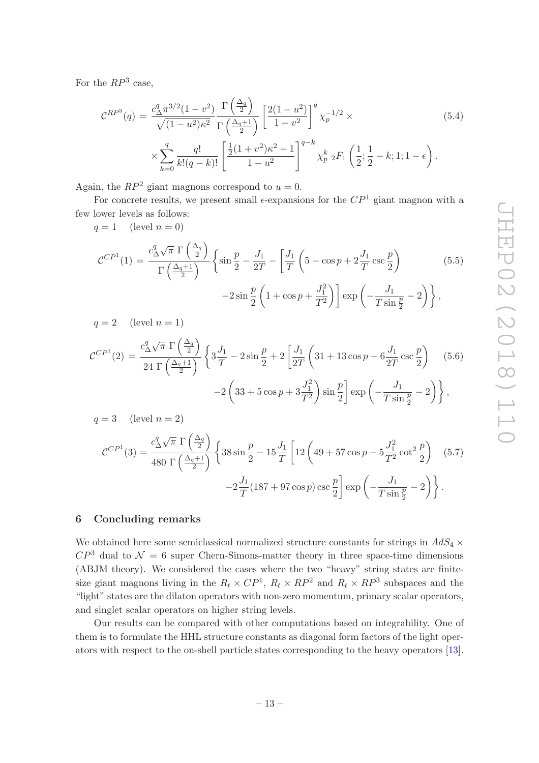For the  $RP^3$  case,

$$
\mathcal{C}^{RP^3}(q) = \frac{c_{\Delta}^q \pi^{3/2} (1 - v^2)}{\sqrt{(1 - u^2)\kappa^2}} \frac{\Gamma\left(\frac{\Delta_q}{2}\right)}{\Gamma\left(\frac{\Delta_q + 1}{2}\right)} \left[\frac{2(1 - u^2)}{1 - v^2}\right]^q \chi_p^{-1/2} \times
$$
\n
$$
\times \sum_{k=0}^q \frac{q!}{k!(q - k)!} \left[\frac{\frac{1}{2}(1 + v^2)\kappa^2 - 1}{1 - u^2}\right]^{q - k} \chi_p^k \, {}_2F_1\left(\frac{1}{2}; \frac{1}{2} - k; 1; 1 - \epsilon\right).
$$
\n(5.4)

Again, the  $RP^2$  giant magnons correspond to  $u = 0$ .

For concrete results, we present small  $\epsilon$ -expansions for the  $\mathbb{CP}^1$  giant magnon with a few lower levels as follows:

 $q = 1$  (level  $n = 0$ )

$$
\mathcal{C}^{CP^1}(1) = \frac{c_{\Delta}^q \sqrt{\pi} \Gamma\left(\frac{\Delta_q}{2}\right)}{\Gamma\left(\frac{\Delta_q+1}{2}\right)} \left\{ \sin\frac{p}{2} - \frac{J_1}{2T} - \left[\frac{J_1}{T}\left(5 - \cos p + 2\frac{J_1}{T}\csc\frac{p}{2}\right) - \frac{J_1}{T}\cos\frac{p}{2} - \frac{J_1}{T}\cos\frac{p}{2} \right] \right\}
$$
(5.5)

$$
-2\sin\frac{p}{2}\left(1+\cos p+\frac{J_1^2}{T^2}\right)\right]\exp\left(-\frac{J_1}{T\sin\frac{p}{2}}-2\right)\bigg\}\,,
$$

 $q = 2$  (level  $n = 1$ )

$$
\mathcal{C}^{CP} (2) = \frac{c_{\Delta}^q \sqrt{\pi} \Gamma \left( \frac{\Delta_q}{2} \right)}{24 \Gamma \left( \frac{\Delta_q + 1}{2} \right)} \left\{ 3 \frac{J_1}{T} - 2 \sin \frac{p}{2} + 2 \left[ \frac{J_1}{2T} \left( 31 + 13 \cos p + 6 \frac{J_1}{2T} \csc \frac{p}{2} \right) -2 \left( 33 + 5 \cos p + 3 \frac{J_1^2}{T^2} \right) \sin \frac{p}{2} \right] \exp \left( -\frac{J_1}{T \sin \frac{p}{2}} - 2 \right) \right\},
$$
\n(5.6)

 $q = 3$  (level  $n = 2$ )

$$
\mathcal{C}^{CP1}(3) = \frac{c_{\Delta}^q \sqrt{\pi} \Gamma\left(\frac{\Delta_q}{2}\right)}{480 \Gamma\left(\frac{\Delta_q+1}{2}\right)} \left\{ 38 \sin \frac{p}{2} - 15 \frac{J_1}{T} \left[ 12 \left( 49 + 57 \cos p - 5 \frac{J_1^2}{T^2} \cot^2 \frac{p}{2} \right) \right] (5.7) - 2 \frac{J_1}{T} (187 + 97 \cos p) \csc \frac{p}{2} \right\} \exp\left(-\frac{J_1}{T \sin \frac{p}{2}} - 2\right) \right\}.
$$

# <span id="page-13-0"></span>6 Concluding remarks

We obtained here some semiclassical normalized structure constants for strings in  $AdS_4 \times$  $\mathbb{CP}^3$  dual to  $\mathcal{N}=6$  super Chern-Simons-matter theory in three space-time dimensions (ABJM theory). We considered the cases where the two "heavy" string states are finitesize giant magnons living in the  $R_t \times CP^1$ ,  $R_t \times RP^2$  and  $R_t \times RP^3$  subspaces and the "light" states are the dilaton operators with non-zero momentum, primary scalar operators, and singlet scalar operators on higher string levels.

Our results can be compared with other computations based on integrability. One of them is to formulate the HHL structure constants as diagonal form factors of the light operators with respect to the on-shell particle states corresponding to the heavy operators [\[13\]](#page-15-5).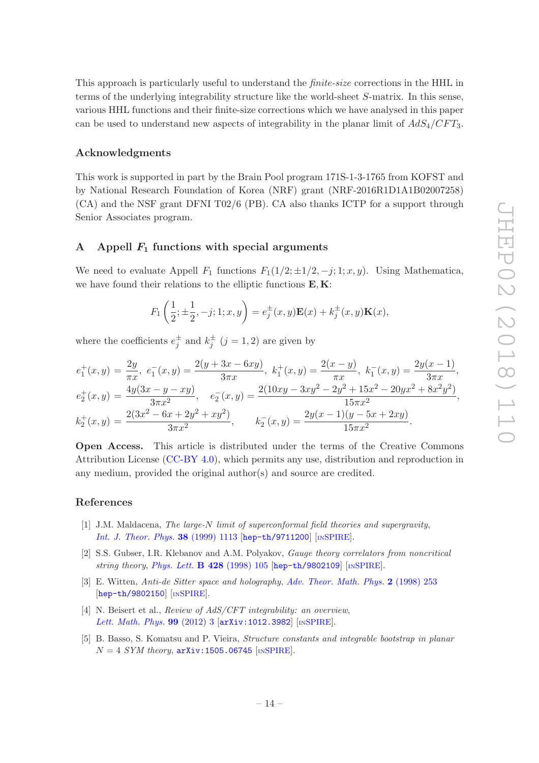This approach is particularly useful to understand the finite-size corrections in the HHL in terms of the underlying integrability structure like the world-sheet S-matrix. In this sense, various HHL functions and their finite-size corrections which we have analysed in this paper can be used to understand new aspects of integrability in the planar limit of  $AdS_4/CFT_3$ .

# Acknowledgments

This work is supported in part by the Brain Pool program 171S-1-3-1765 from KOFST and by National Research Foundation of Korea (NRF) grant (NRF-2016R1D1A1B02007258) (CA) and the NSF grant DFNI T02/6 (PB). CA also thanks ICTP for a support through Senior Associates program.

#### <span id="page-14-0"></span>A Appell  $F_1$  functions with special arguments

We need to evaluate Appell  $F_1$  functions  $F_1(1/2; \pm 1/2, -j; 1; x, y)$ . Using Mathematica, we have found their relations to the elliptic functions  $\mathbf{E}, \mathbf{K}$ :

$$
F_1\left(\frac{1}{2}; \pm \frac{1}{2}, -j; 1; x, y\right) = e_j^{\pm}(x, y)\mathbf{E}(x) + k_j^{\pm}(x, y)\mathbf{K}(x),
$$

where the coefficients  $e_j^{\pm}$  and  $k_j^{\pm}$   $(j = 1, 2)$  are given by

$$
e_1^+(x,y) = \frac{2y}{\pi x}, \ e_1^-(x,y) = \frac{2(y+3x-6xy)}{3\pi x}, \ k_1^+(x,y) = \frac{2(x-y)}{\pi x}, \ k_1^-(x,y) = \frac{2y(x-1)}{3\pi x},
$$
  
\n
$$
e_2^+(x,y) = \frac{4y(3x-y-xy)}{3\pi x^2}, \quad e_2^-(x,y) = \frac{2(10xy-3xy^2-2y^2+15x^2-20yx^2+8x^2y^2)}{15\pi x^2},
$$
  
\n
$$
k_2^+(x,y) = \frac{2(3x^2-6x+2y^2+xy^2)}{3\pi x^2}, \qquad k_2^-(x,y) = \frac{2y(x-1)(y-5x+2xy)}{15\pi x^2}.
$$

Open Access. This article is distributed under the terms of the Creative Commons Attribution License [\(CC-BY 4.0\)](https://creativecommons.org/licenses/by/4.0/), which permits any use, distribution and reproduction in any medium, provided the original author(s) and source are credited.

#### References

- <span id="page-14-1"></span>[1] J.M. Maldacena, The large-N limit of superconformal field theories and supergravity, [Int. J. Theor. Phys.](https://doi.org/10.1023/A:1026654312961) 38 (1999) 1113 [[hep-th/9711200](https://arxiv.org/abs/hep-th/9711200)] [IN[SPIRE](https://inspirehep.net/search?p=find+EPRINT+hep-th/9711200)].
- [2] S.S. Gubser, I.R. Klebanov and A.M. Polyakov, Gauge theory correlators from noncritical string theory, [Phys. Lett.](https://doi.org/10.1016/S0370-2693(98)00377-3)  $\bf{B}$  428 (1998) 105 [[hep-th/9802109](https://arxiv.org/abs/hep-th/9802109)] [IN[SPIRE](https://inspirehep.net/search?p=find+EPRINT+hep-th/9802109)].
- <span id="page-14-2"></span>[3] E. Witten, Anti-de Sitter space and holography, [Adv. Theor. Math. Phys.](https://doi.org/10.4310/ATMP.1998.v2.n2.a2) 2 (1998) 253 [[hep-th/9802150](https://arxiv.org/abs/hep-th/9802150)] [IN[SPIRE](https://inspirehep.net/search?p=find+EPRINT+hep-th/9802150)].
- <span id="page-14-3"></span>[4] N. Beisert et al., Review of AdS/CFT integrability: an overview, [Lett. Math. Phys.](https://doi.org/10.1007/s11005-011-0529-2) 99 (2012) 3 [[arXiv:1012.3982](https://arxiv.org/abs/1012.3982)] [IN[SPIRE](https://inspirehep.net/search?p=find+EPRINT+arXiv:1012.3982)].
- <span id="page-14-4"></span>[5] B. Basso, S. Komatsu and P. Vieira, Structure constants and integrable bootstrap in planar  $N = 4$  SYM theory,  $arXiv:1505.06745$  [IN[SPIRE](https://inspirehep.net/search?p=find+EPRINT+arXiv:1505.06745)].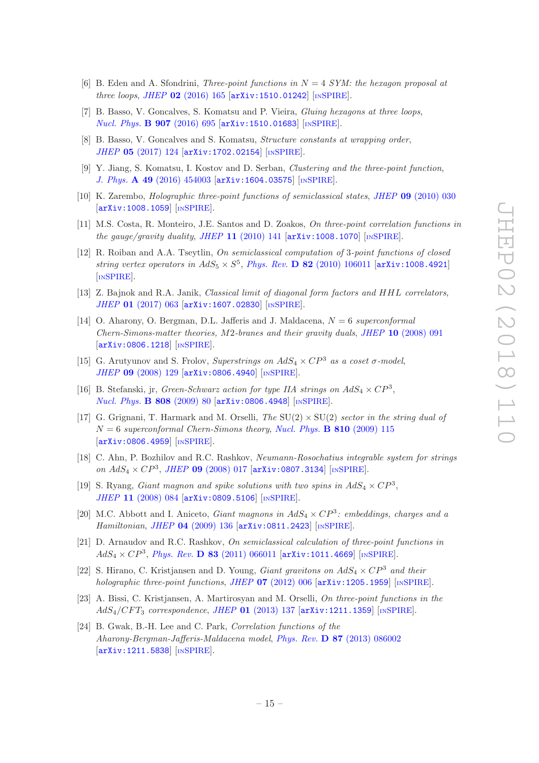- <span id="page-15-0"></span>[6] B. Eden and A. Sfondrini, *Three-point functions in*  $N = 4$  *SYM: the hexagon proposal at* three loops, JHEP  $02$  [\(2016\) 165](https://doi.org/10.1007/JHEP02(2016)165)  $\text{arXiv:1510.01242}$  $\text{arXiv:1510.01242}$  $\text{arXiv:1510.01242}$  [IN[SPIRE](https://inspirehep.net/search?p=find+EPRINT+arXiv:1510.01242)].
- [7] B. Basso, V. Goncalves, S. Komatsu and P. Vieira, Gluing hexagons at three loops, [Nucl. Phys.](https://doi.org/10.1016/j.nuclphysb.2016.04.020) **B 907** (2016) 695 [[arXiv:1510.01683](https://arxiv.org/abs/1510.01683)] [IN[SPIRE](https://inspirehep.net/search?p=find+EPRINT+arXiv:1510.01683)].
- <span id="page-15-1"></span>[8] B. Basso, V. Goncalves and S. Komatsu, *Structure constants at wrapping order*, JHEP 05 [\(2017\) 124](https://doi.org/10.1007/JHEP05(2017)124) [[arXiv:1702.02154](https://arxiv.org/abs/1702.02154)] [IN[SPIRE](https://inspirehep.net/search?p=find+EPRINT+arXiv:1702.02154)].
- <span id="page-15-2"></span>[9] Y. Jiang, S. Komatsu, I. Kostov and D. Serban, Clustering and the three-point function, J. Phys. A 49 [\(2016\) 454003](https://doi.org/10.1088/1751-8113/49/45/454003) [[arXiv:1604.03575](https://arxiv.org/abs/1604.03575)] [IN[SPIRE](https://inspirehep.net/search?p=find+EPRINT+arXiv:1604.03575)].
- <span id="page-15-3"></span>[10] K. Zarembo, *Holographic three-point functions of semiclassical states, JHEP* 09 [\(2010\) 030](https://doi.org/10.1007/JHEP09(2010)030) [[arXiv:1008.1059](https://arxiv.org/abs/1008.1059)] [IN[SPIRE](https://inspirehep.net/search?p=find+EPRINT+arXiv:1008.1059)].
- [11] M.S. Costa, R. Monteiro, J.E. Santos and D. Zoakos, On three-point correlation functions in the gauge/gravity duality, JHEP  $11$  [\(2010\) 141](https://doi.org/10.1007/JHEP11(2010)141) [[arXiv:1008.1070](https://arxiv.org/abs/1008.1070)] [IN[SPIRE](https://inspirehep.net/search?p=find+EPRINT+arXiv:1008.1070)].
- <span id="page-15-4"></span>[12] R. Roiban and A.A. Tseytlin, On semiclassical computation of 3-point functions of closed string vertex operators in  $AdS_5 \times S^5$ , *Phys. Rev.* **D 82** [\(2010\) 106011](https://doi.org/10.1103/PhysRevD.82.106011) [[arXiv:1008.4921](https://arxiv.org/abs/1008.4921)] [IN[SPIRE](https://inspirehep.net/search?p=find+EPRINT+arXiv:1008.4921)].
- <span id="page-15-5"></span>[13] Z. Bajnok and R.A. Janik, *Classical limit of diagonal form factors and HHL correlators*, JHEP 01 [\(2017\) 063](https://doi.org/10.1007/JHEP01(2017)063) [[arXiv:1607.02830](https://arxiv.org/abs/1607.02830)] [IN[SPIRE](https://inspirehep.net/search?p=find+EPRINT+arXiv:1607.02830)].
- <span id="page-15-6"></span>[14] O. Aharony, O. Bergman, D.L. Jafferis and J. Maldacena,  $N = 6$  superconformal Chern-Simons-matter theories,  $M2$ -branes and their gravity duals, JHEP 10 [\(2008\) 091](https://doi.org/10.1088/1126-6708/2008/10/091) [[arXiv:0806.1218](https://arxiv.org/abs/0806.1218)] [IN[SPIRE](https://inspirehep.net/search?p=find+EPRINT+arXiv:0806.1218)].
- <span id="page-15-7"></span>[15] G. Arutyunov and S. Frolov, Superstrings on  $AdS_4 \times CP^3$  as a coset  $\sigma$ -model, JHEP 09 [\(2008\) 129](https://doi.org/10.1088/1126-6708/2008/09/129) [[arXiv:0806.4940](https://arxiv.org/abs/0806.4940)] [IN[SPIRE](https://inspirehep.net/search?p=find+EPRINT+arXiv:0806.4940)].
- <span id="page-15-8"></span>[16] B. Stefanski, jr, *Green-Schwarz action for type IIA strings on*  $AdS_4 \times CP^3$ *,* [Nucl. Phys.](https://doi.org/10.1016/j.nuclphysb.2008.09.015) B 808 (2009) 80 [[arXiv:0806.4948](https://arxiv.org/abs/0806.4948)] [IN[SPIRE](https://inspirehep.net/search?p=find+EPRINT+arXiv:0806.4948)].
- <span id="page-15-9"></span>[17] G. Grignani, T. Harmark and M. Orselli, The  $SU(2) \times SU(2)$  sector in the string dual of  $N = 6$  superconformal Chern-Simons theory, [Nucl. Phys.](https://doi.org/10.1016/j.nuclphysb.2008.10.019) **B** 810 (2009) 115 [[arXiv:0806.4959](https://arxiv.org/abs/0806.4959)] [IN[SPIRE](https://inspirehep.net/search?p=find+EPRINT+arXiv:0806.4959)].
- <span id="page-15-12"></span>[18] C. Ahn, P. Bozhilov and R.C. Rashkov, Neumann-Rosochatius integrable system for strings on  $AdS_4 \times CP^3$ , JHEP 09 [\(2008\) 017](https://doi.org/10.1088/1126-6708/2008/09/017) [[arXiv:0807.3134](https://arxiv.org/abs/0807.3134)] [IN[SPIRE](https://inspirehep.net/search?p=find+EPRINT+arXiv:0807.3134)].
- [19] S. Ryang, *Giant magnon and spike solutions with two spins in*  $AdS_4 \times CP^3$ , JHEP 11 [\(2008\) 084](https://doi.org/10.1088/1126-6708/2008/11/084) [[arXiv:0809.5106](https://arxiv.org/abs/0809.5106)] [IN[SPIRE](https://inspirehep.net/search?p=find+EPRINT+arXiv:0809.5106)].
- <span id="page-15-10"></span>[20] M.C. Abbott and I. Aniceto, *Giant magnons in*  $AdS_4 \times CP^3$ : embeddings, charges and a Hamiltonian, JHEP 04 [\(2009\) 136](https://doi.org/10.1088/1126-6708/2009/04/136) [[arXiv:0811.2423](https://arxiv.org/abs/0811.2423)] [IN[SPIRE](https://inspirehep.net/search?p=find+EPRINT+arXiv:0811.2423)].
- <span id="page-15-11"></span>[21] D. Arnaudov and R.C. Rashkov, On semiclassical calculation of three-point functions in  $AdS_4 \times CP^3$ , *Phys. Rev.* **D 83** [\(2011\) 066011](https://doi.org/10.1103/PhysRevD.83.066011) [[arXiv:1011.4669](https://arxiv.org/abs/1011.4669)] [IN[SPIRE](https://inspirehep.net/search?p=find+EPRINT+arXiv:1011.4669)].
- [22] S. Hirano, C. Kristjansen and D. Young, *Giant gravitons on AdS<sub>4</sub>*  $\times CP^3$  *and their* holographic three-point functions, JHEP  $07$  [\(2012\) 006](https://doi.org/10.1007/JHEP07(2012)006)  $\left[$ [arXiv:1205.1959](https://arxiv.org/abs/1205.1959) $\right]$  [IN[SPIRE](https://inspirehep.net/search?p=find+EPRINT+arXiv:1205.1959)].
- [23] A. Bissi, C. Kristjansen, A. Martirosyan and M. Orselli, On three-point functions in the  $AdS_4/CFT_3$  correspondence, JHEP 01 [\(2013\) 137](https://doi.org/10.1007/JHEP01(2013)137)  $arXiv:1211.1359$  [IN[SPIRE](https://inspirehep.net/search?p=find+EPRINT+arXiv:1211.1359)].
- [24] B. Gwak, B.-H. Lee and C. Park, Correlation functions of the Aharony-Bergman-Jafferis-Maldacena model, Phys. Rev. D 87 [\(2013\) 086002](https://doi.org/10.1103/PhysRevD.87.086002) [[arXiv:1211.5838](https://arxiv.org/abs/1211.5838)] [IN[SPIRE](https://inspirehep.net/search?p=find+EPRINT+arXiv:1211.5838)].